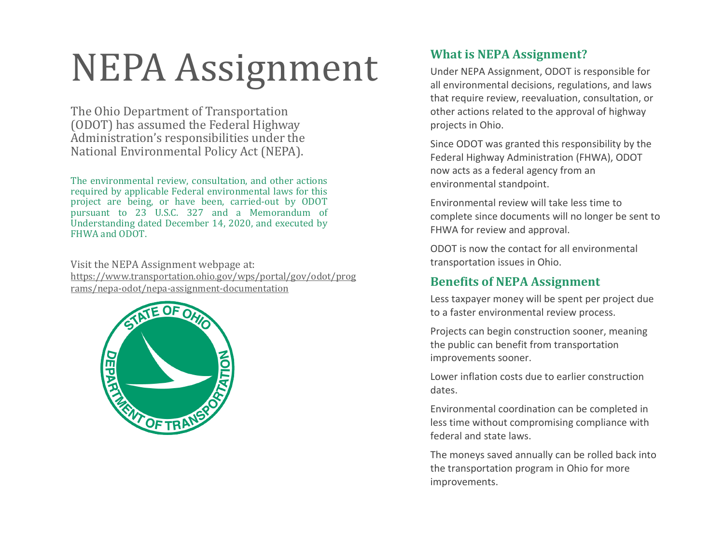## NEPA Assignment

The Ohio Department of Transportation (ODOT) has assumed the Federal Highway Administration's responsibilities under the National Environmental Policy Act (NEPA).

The environmental review, consultation, and other actions required by applicable Federal environmental laws for this project are being, or have been, carried-out by ODOT pursuant to 23 U.S.C. 327 and a Memorandum of Understanding dated December 14, 2020, and executed by FHWA and ODOT.

Visit the NEPA Assignment webpage at: https://www.transportation.ohio.gov/wps/portal/gov/odot/prog rams/nepa-odot/nepa-assignment-documentation



## **What is NEPA Assignment?**

Under NEPA Assignment, ODOT is responsible for all environmental decisions, regulations, and laws that require review, reevaluation, consultation, or other actions related to the approval of highway projects in Ohio.

Since ODOT was granted this responsibility by the Federal Highway Administration (FHWA), ODOT now acts as a federal agency from an environmental standpoint.

Environmental review will take less time to complete since documents will no longer be sent to FHWA for review and approval.

ODOT is now the contact for all environmental transportation issues in Ohio.

## **Benefits of NEPA Assignment**

Less taxpayer money will be spent per project due to a faster environmental review process.

Projects can begin construction sooner, meaning the public can benefit from transportation improvements sooner.

Lower inflation costs due to earlier construction dates.

Environmental coordination can be completed in less time without compromising compliance with federal and state laws.

The moneys saved annually can be rolled back into the transportation program in Ohio for more improvements.